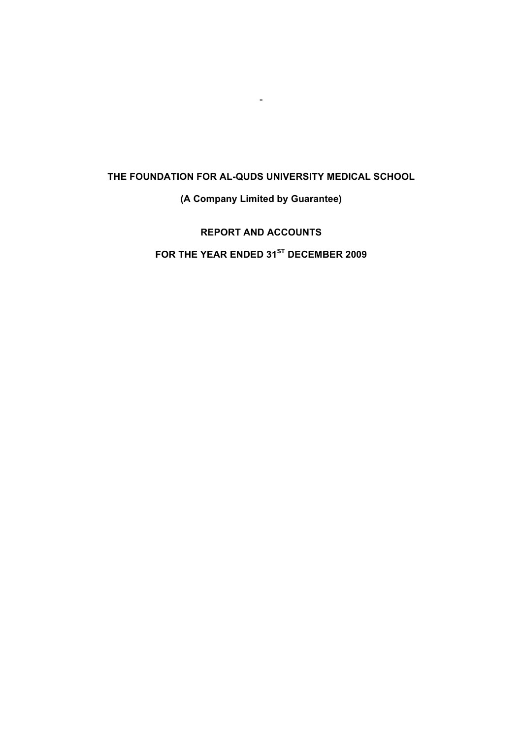-

**(A Company Limited by Guarantee)**

**REPORT AND ACCOUNTS FOR THE YEAR ENDED 31ST DECEMBER 2009**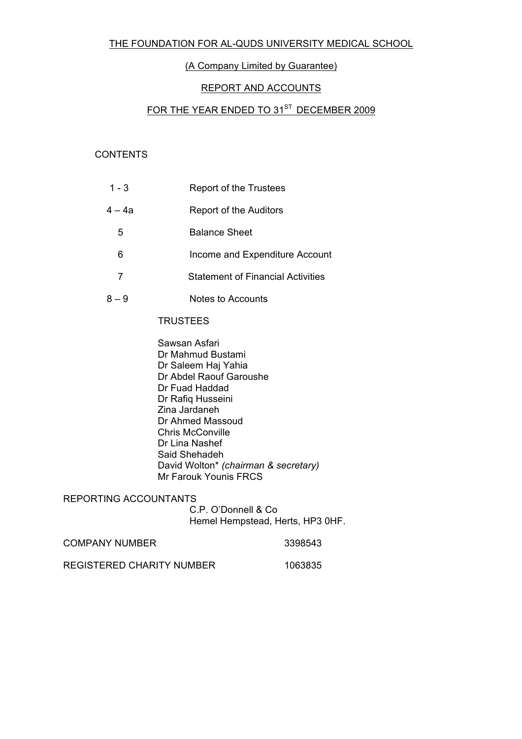# (A Company Limited by Guarantee)

# REPORT AND ACCOUNTS

# FOR THE YEAR ENDED TO 31<sup>ST</sup> DECEMBER 2009

# **CONTENTS**

| $1 - 3$ | Report of the Trustees                   |
|---------|------------------------------------------|
| $4-4a$  | Report of the Auditors                   |
| 5       | <b>Balance Sheet</b>                     |
| 6       | Income and Expenditure Account           |
| 7       | <b>Statement of Financial Activities</b> |
| $8 - 9$ | Notes to Accounts                        |

#### **TRUSTEES**

Sawsan Asfari Dr Mahmud Bustami Dr Saleem Haj Yahia Dr Abdel Raouf Garoushe Dr Fuad Haddad Dr Rafiq Husseini Zina Jardaneh Dr Ahmed Massoud Chris McConville Dr Lina Nashef Said Shehadeh David Wolton\* *(chairman & secretary)* Mr Farouk Younis FRCS

REPORTING ACCOUNTANTS

C.P. O'Donnell & Co Hemel Hempstead, Herts, HP3 0HF.

| <b>COMPANY NUMBER</b>     | 3398543 |
|---------------------------|---------|
| REGISTERED CHARITY NUMBER | 1063835 |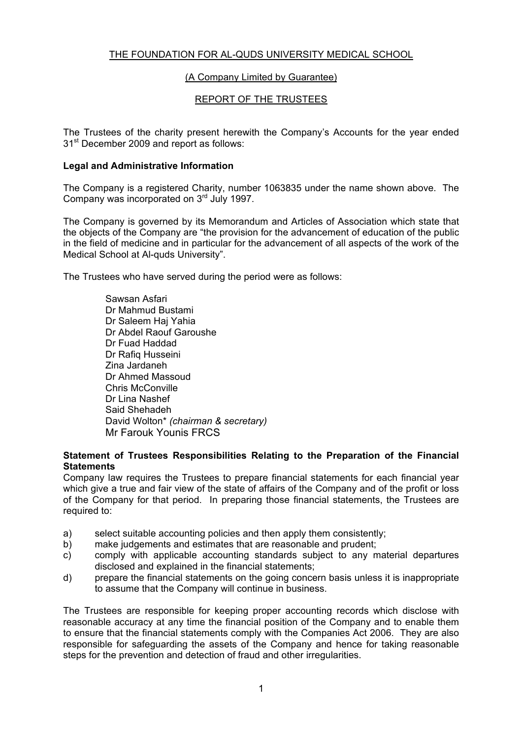# (A Company Limited by Guarantee)

# REPORT OF THE TRUSTEES

The Trustees of the charity present herewith the Company's Accounts for the year ended 31<sup>st</sup> December 2009 and report as follows:

# **Legal and Administrative Information**

The Company is a registered Charity, number 1063835 under the name shown above. The Company was incorporated on 3<sup>rd</sup> July 1997.

The Company is governed by its Memorandum and Articles of Association which state that the objects of the Company are "the provision for the advancement of education of the public in the field of medicine and in particular for the advancement of all aspects of the work of the Medical School at Al-quds University".

The Trustees who have served during the period were as follows:

Sawsan Asfari Dr Mahmud Bustami Dr Saleem Haj Yahia Dr Abdel Raouf Garoushe Dr Fuad Haddad Dr Rafiq Husseini Zina Jardaneh Dr Ahmed Massoud Chris McConville Dr Lina Nashef Said Shehadeh David Wolton\* *(chairman & secretary)*  Mr Farouk Younis FRCS

# **Statement of Trustees Responsibilities Relating to the Preparation of the Financial Statements**

Company law requires the Trustees to prepare financial statements for each financial year which give a true and fair view of the state of affairs of the Company and of the profit or loss of the Company for that period. In preparing those financial statements, the Trustees are required to:

- a) select suitable accounting policies and then apply them consistently;
- b) make judgements and estimates that are reasonable and prudent;
- c) comply with applicable accounting standards subject to any material departures disclosed and explained in the financial statements;
- d) prepare the financial statements on the going concern basis unless it is inappropriate to assume that the Company will continue in business.

The Trustees are responsible for keeping proper accounting records which disclose with reasonable accuracy at any time the financial position of the Company and to enable them to ensure that the financial statements comply with the Companies Act 2006. They are also responsible for safeguarding the assets of the Company and hence for taking reasonable steps for the prevention and detection of fraud and other irregularities.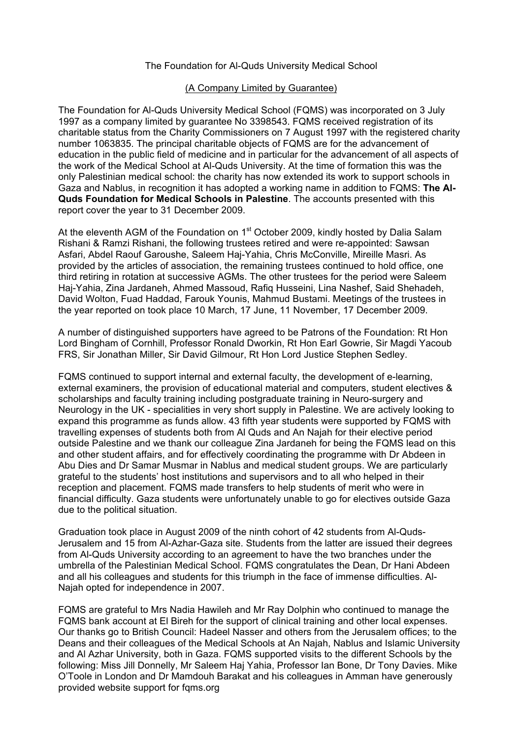# The Foundation for Al-Quds University Medical School

### (A Company Limited by Guarantee)

The Foundation for Al-Quds University Medical School (FQMS) was incorporated on 3 July 1997 as a company limited by guarantee No 3398543. FQMS received registration of its charitable status from the Charity Commissioners on 7 August 1997 with the registered charity number 1063835. The principal charitable objects of FQMS are for the advancement of education in the public field of medicine and in particular for the advancement of all aspects of the work of the Medical School at Al-Quds University. At the time of formation this was the only Palestinian medical school: the charity has now extended its work to support schools in Gaza and Nablus, in recognition it has adopted a working name in addition to FQMS: **The Al-Quds Foundation for Medical Schools in Palestine**. The accounts presented with this report cover the year to 31 December 2009.

At the eleventh AGM of the Foundation on 1<sup>st</sup> October 2009, kindly hosted by Dalia Salam Rishani & Ramzi Rishani, the following trustees retired and were re-appointed: Sawsan Asfari, Abdel Raouf Garoushe, Saleem Haj-Yahia, Chris McConville, Mireille Masri. As provided by the articles of association, the remaining trustees continued to hold office, one third retiring in rotation at successive AGMs. The other trustees for the period were Saleem Haj-Yahia, Zina Jardaneh, Ahmed Massoud, Rafiq Husseini, Lina Nashef, Said Shehadeh, David Wolton, Fuad Haddad, Farouk Younis, Mahmud Bustami. Meetings of the trustees in the year reported on took place 10 March, 17 June, 11 November, 17 December 2009.

A number of distinguished supporters have agreed to be Patrons of the Foundation: Rt Hon Lord Bingham of Cornhill, Professor Ronald Dworkin, Rt Hon Earl Gowrie, Sir Magdi Yacoub FRS, Sir Jonathan Miller, Sir David Gilmour, Rt Hon Lord Justice Stephen Sedley.

FQMS continued to support internal and external faculty, the development of e-learning, external examiners, the provision of educational material and computers, student electives & scholarships and faculty training including postgraduate training in Neuro-surgery and Neurology in the UK - specialities in very short supply in Palestine. We are actively looking to expand this programme as funds allow. 43 fifth year students were supported by FQMS with travelling expenses of students both from Al Quds and An Najah for their elective period outside Palestine and we thank our colleague Zina Jardaneh for being the FQMS lead on this and other student affairs, and for effectively coordinating the programme with Dr Abdeen in Abu Dies and Dr Samar Musmar in Nablus and medical student groups. We are particularly grateful to the students' host institutions and supervisors and to all who helped in their reception and placement. FQMS made transfers to help students of merit who were in financial difficulty. Gaza students were unfortunately unable to go for electives outside Gaza due to the political situation.

Graduation took place in August 2009 of the ninth cohort of 42 students from Al-Quds-Jerusalem and 15 from Al-Azhar-Gaza site. Students from the latter are issued their degrees from Al-Quds University according to an agreement to have the two branches under the umbrella of the Palestinian Medical School. FQMS congratulates the Dean, Dr Hani Abdeen and all his colleagues and students for this triumph in the face of immense difficulties. Al-Najah opted for independence in 2007.

FQMS are grateful to Mrs Nadia Hawileh and Mr Ray Dolphin who continued to manage the FQMS bank account at El Bireh for the support of clinical training and other local expenses. Our thanks go to British Council: Hadeel Nasser and others from the Jerusalem offices; to the Deans and their colleagues of the Medical Schools at An Najah, Nablus and Islamic University and Al Azhar University, both in Gaza. FQMS supported visits to the different Schools by the following: Miss Jill Donnelly, Mr Saleem Haj Yahia, Professor Ian Bone, Dr Tony Davies. Mike O'Toole in London and Dr Mamdouh Barakat and his colleagues in Amman have generously provided website support for fqms.org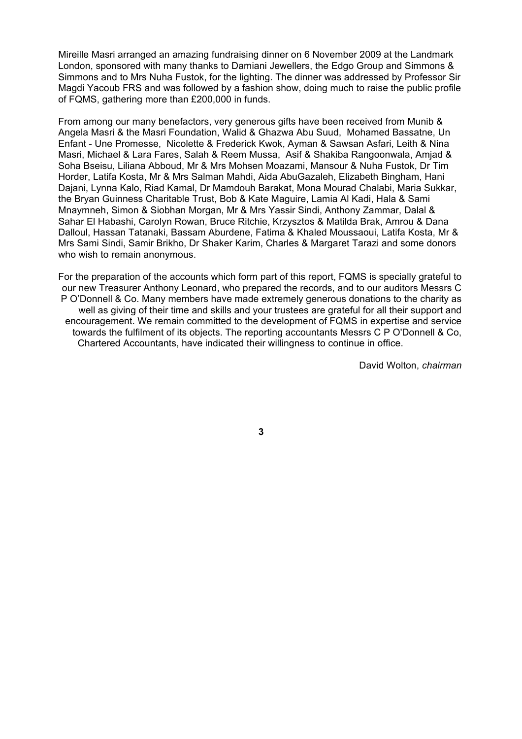Mireille Masri arranged an amazing fundraising dinner on 6 November 2009 at the Landmark London, sponsored with many thanks to Damiani Jewellers, the Edgo Group and Simmons & Simmons and to Mrs Nuha Fustok, for the lighting. The dinner was addressed by Professor Sir Magdi Yacoub FRS and was followed by a fashion show, doing much to raise the public profile of FQMS, gathering more than £200,000 in funds.

From among our many benefactors, very generous gifts have been received from Munib & Angela Masri & the Masri Foundation, Walid & Ghazwa Abu Suud, Mohamed Bassatne, Un Enfant - Une Promesse, Nicolette & Frederick Kwok, Ayman & Sawsan Asfari, Leith & Nina Masri, Michael & Lara Fares, Salah & Reem Mussa, Asif & Shakiba Rangoonwala, Amjad & Soha Bseisu, Liliana Abboud, Mr & Mrs Mohsen Moazami, Mansour & Nuha Fustok, Dr Tim Horder, Latifa Kosta, Mr & Mrs Salman Mahdi, Aida AbuGazaleh, Elizabeth Bingham, Hani Dajani, Lynna Kalo, Riad Kamal, Dr Mamdouh Barakat, Mona Mourad Chalabi, Maria Sukkar, the Bryan Guinness Charitable Trust, Bob & Kate Maguire, Lamia Al Kadi, Hala & Sami Mnaymneh, Simon & Siobhan Morgan, Mr & Mrs Yassir Sindi, Anthony Zammar, Dalal & Sahar El Habashi, Carolyn Rowan, Bruce Ritchie, Krzysztos & Matilda Brak, Amrou & Dana Dalloul, Hassan Tatanaki, Bassam Aburdene, Fatima & Khaled Moussaoui, Latifa Kosta, Mr & Mrs Sami Sindi, Samir Brikho, Dr Shaker Karim, Charles & Margaret Tarazi and some donors who wish to remain anonymous.

For the preparation of the accounts which form part of this report, FQMS is specially grateful to our new Treasurer Anthony Leonard, who prepared the records, and to our auditors Messrs C P O'Donnell & Co. Many members have made extremely generous donations to the charity as well as giving of their time and skills and your trustees are grateful for all their support and encouragement. We remain committed to the development of FQMS in expertise and service towards the fulfilment of its objects. The reporting accountants Messrs C P O'Donnell & Co, Chartered Accountants, have indicated their willingness to continue in office.

David Wolton, *chairman*

**3**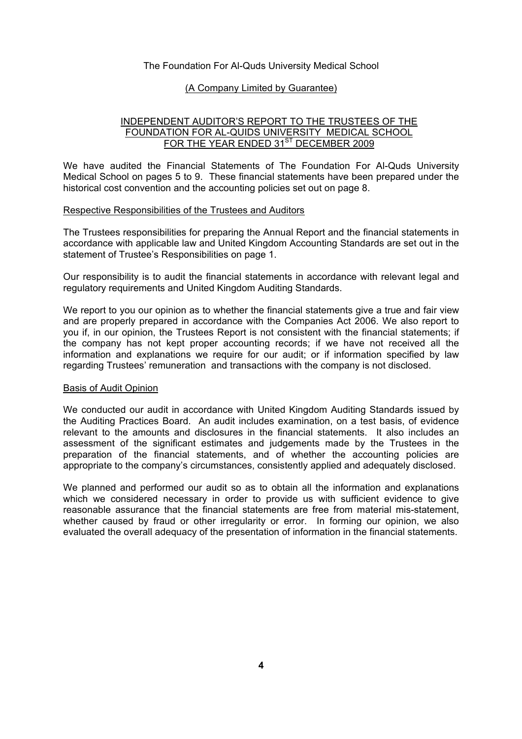#### The Foundation For Al-Quds University Medical School

#### (A Company Limited by Guarantee)

### INDEPENDENT AUDITOR'S REPORT TO THE TRUSTEES OF THE FOUNDATION FOR AL-QUIDS UNIVERSITY MEDICAL SCHOOL FOR THE YEAR ENDED 31<sup>ST</sup> DECEMBER 2009

We have audited the Financial Statements of The Foundation For Al-Quds University Medical School on pages 5 to 9. These financial statements have been prepared under the historical cost convention and the accounting policies set out on page 8.

#### Respective Responsibilities of the Trustees and Auditors

The Trustees responsibilities for preparing the Annual Report and the financial statements in accordance with applicable law and United Kingdom Accounting Standards are set out in the statement of Trustee's Responsibilities on page 1.

Our responsibility is to audit the financial statements in accordance with relevant legal and regulatory requirements and United Kingdom Auditing Standards.

We report to you our opinion as to whether the financial statements give a true and fair view and are properly prepared in accordance with the Companies Act 2006. We also report to you if, in our opinion, the Trustees Report is not consistent with the financial statements; if the company has not kept proper accounting records; if we have not received all the information and explanations we require for our audit; or if information specified by law regarding Trustees' remuneration and transactions with the company is not disclosed.

#### Basis of Audit Opinion

We conducted our audit in accordance with United Kingdom Auditing Standards issued by the Auditing Practices Board. An audit includes examination, on a test basis, of evidence relevant to the amounts and disclosures in the financial statements. It also includes an assessment of the significant estimates and judgements made by the Trustees in the preparation of the financial statements, and of whether the accounting policies are appropriate to the company's circumstances, consistently applied and adequately disclosed.

We planned and performed our audit so as to obtain all the information and explanations which we considered necessary in order to provide us with sufficient evidence to give reasonable assurance that the financial statements are free from material mis-statement, whether caused by fraud or other irregularity or error. In forming our opinion, we also evaluated the overall adequacy of the presentation of information in the financial statements.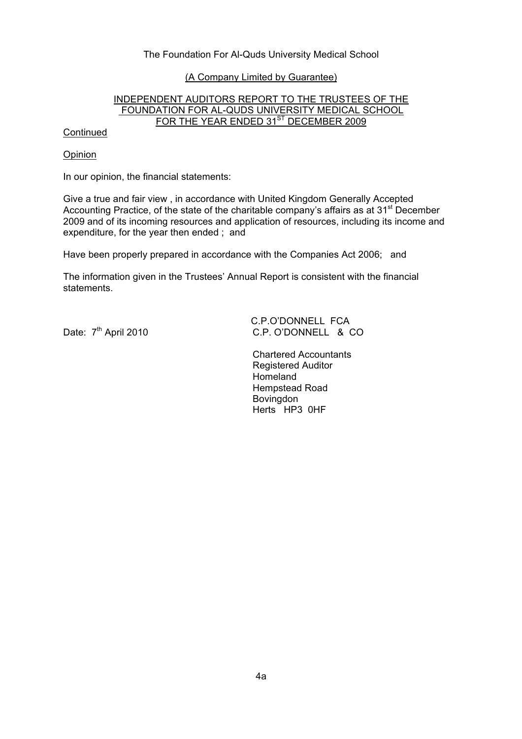# The Foundation For Al-Quds University Medical School

#### (A Company Limited by Guarantee)

# INDEPENDENT AUDITORS REPORT TO THE TRUSTEES OF THE FOUNDATION FOR AL-QUDS UNIVERSITY MEDICAL SCHOOL FOR THE YEAR ENDED 31<sup>ST</sup> DECEMBER 2009

#### **Continued**

#### Opinion

In our opinion, the financial statements:

Give a true and fair view , in accordance with United Kingdom Generally Accepted Accounting Practice, of the state of the charitable company's affairs as at 31<sup>st</sup> December 2009 and of its incoming resources and application of resources, including its income and expenditure, for the year then ended ; and

Have been properly prepared in accordance with the Companies Act 2006; and

The information given in the Trustees' Annual Report is consistent with the financial statements.

C.P.O'DONNELL FCA<br>C.P. O'DONNELL & C.P. O'DONNELL & C.P. C.P. O'DONNELL & CO.

> Chartered Accountants Registered Auditor Homeland Hempstead Road **Bovingdon** Herts HP3 0HF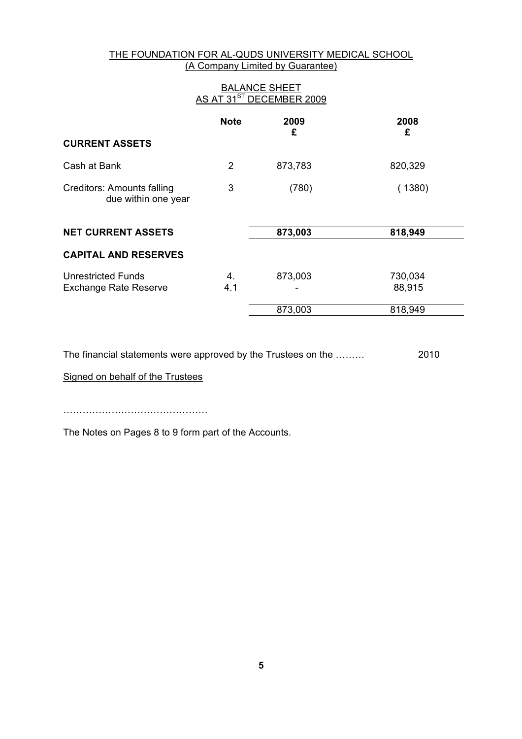# THE FOUNDATION FOR AL-QUDS UNIVERSITY MEDICAL SCHOOL (A Company Limited by Guarantee)

| <b>BALANCE SHEET</b><br>AS AT 31 <sup>ST</sup> DECEMBER 2009 |                |           |                   |  |  |
|--------------------------------------------------------------|----------------|-----------|-------------------|--|--|
|                                                              | <b>Note</b>    | 2009<br>£ | 2008<br>£         |  |  |
| <b>CURRENT ASSETS</b>                                        |                |           |                   |  |  |
| Cash at Bank                                                 | $\overline{2}$ | 873,783   | 820,329           |  |  |
| Creditors: Amounts falling<br>due within one year            | 3              | (780)     | (1380)            |  |  |
| <b>NET CURRENT ASSETS</b>                                    |                | 873,003   | 818,949           |  |  |
| <b>CAPITAL AND RESERVES</b>                                  |                |           |                   |  |  |
| Unrestricted Funds<br><b>Exchange Rate Reserve</b>           | 4.<br>4.1      | 873,003   | 730,034<br>88,915 |  |  |
|                                                              |                | 873,003   | 818,949           |  |  |

The financial statements were approved by the Trustees on the ……… 2010

Signed on behalf of the Trustees

………………………………………

The Notes on Pages 8 to 9 form part of the Accounts.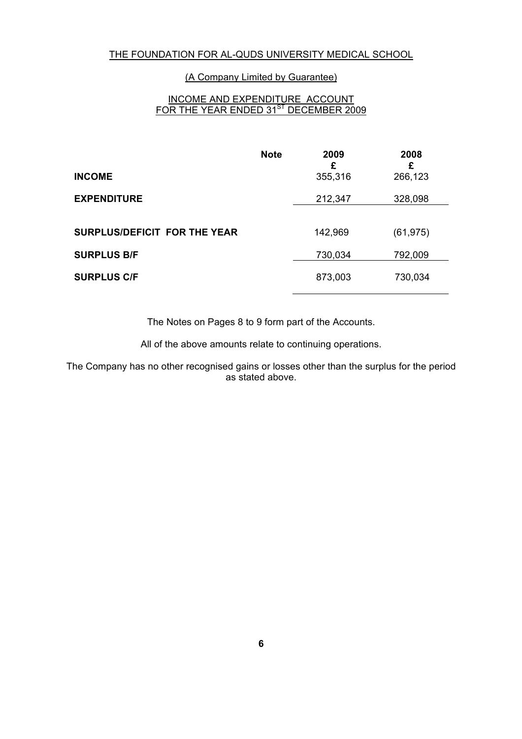### (A Company Limited by Guarantee)

# INCOME AND EXPENDITURE ACCOUNT FOR THE YEAR ENDED 31<sup>ST</sup> DECEMBER 2009

|                                     | <b>Note</b> | 2009<br>£ | 2008<br>£ |
|-------------------------------------|-------------|-----------|-----------|
| <b>INCOME</b>                       |             | 355,316   | 266,123   |
| <b>EXPENDITURE</b>                  |             | 212,347   | 328,098   |
|                                     |             |           |           |
| <b>SURPLUS/DEFICIT FOR THE YEAR</b> |             | 142,969   | (61, 975) |
| <b>SURPLUS B/F</b>                  |             | 730,034   | 792,009   |
| <b>SURPLUS C/F</b>                  |             | 873,003   | 730,034   |

The Notes on Pages 8 to 9 form part of the Accounts.

All of the above amounts relate to continuing operations.

The Company has no other recognised gains or losses other than the surplus for the period as stated above.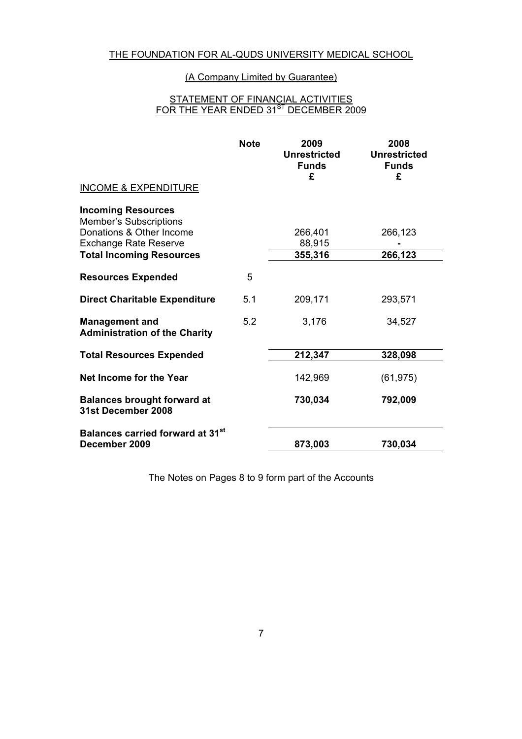# (A Company Limited by Guarantee)

#### STATEMENT OF FINANCIAL ACTIVITIES FOR THE YEAR ENDED 31<sup>ST</sup> DECEMBER 2009

|                                                               | <b>Note</b> | 2009<br><b>Unrestricted</b><br><b>Funds</b><br>£ | 2008<br><b>Unrestricted</b><br><b>Funds</b><br>£ |
|---------------------------------------------------------------|-------------|--------------------------------------------------|--------------------------------------------------|
| <b>INCOME &amp; EXPENDITURE</b>                               |             |                                                  |                                                  |
| <b>Incoming Resources</b><br><b>Member's Subscriptions</b>    |             |                                                  |                                                  |
| Donations & Other Income                                      |             | 266,401                                          | 266,123                                          |
| <b>Exchange Rate Reserve</b>                                  |             | 88,915                                           |                                                  |
| <b>Total Incoming Resources</b>                               |             | 355,316                                          | 266,123                                          |
| <b>Resources Expended</b>                                     | 5           |                                                  |                                                  |
| <b>Direct Charitable Expenditure</b>                          | 5.1         | 209,171                                          | 293,571                                          |
| <b>Management and</b><br><b>Administration of the Charity</b> | 5.2         | 3,176                                            | 34,527                                           |
| <b>Total Resources Expended</b>                               |             | 212,347                                          | 328,098                                          |
| Net Income for the Year                                       |             | 142,969                                          | (61, 975)                                        |
| <b>Balances brought forward at</b><br>31st December 2008      |             | 730,034                                          | 792,009                                          |
| Balances carried forward at 31 <sup>st</sup><br>December 2009 |             | 873,003                                          | 730,034                                          |

The Notes on Pages 8 to 9 form part of the Accounts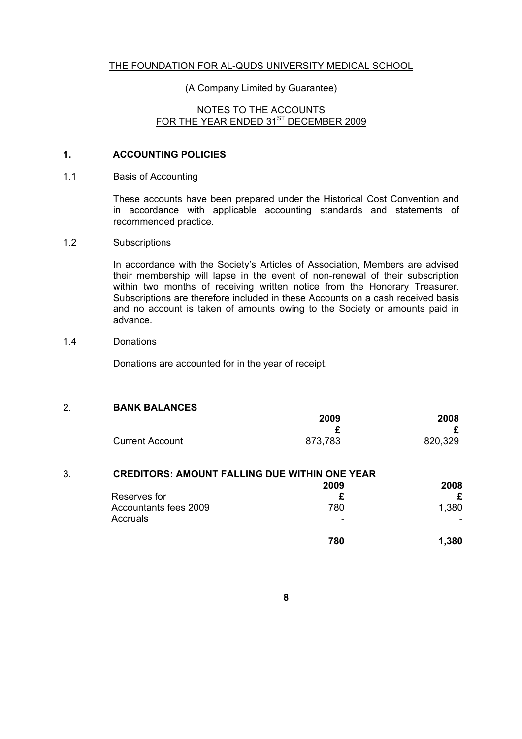# (A Company Limited by Guarantee)

### NOTES TO THE ACCOUNTS FOR THE YEAR ENDED 31<sup>ST</sup> DECEMBER 2009

### **1. ACCOUNTING POLICIES**

#### 1.1 Basis of Accounting

These accounts have been prepared under the Historical Cost Convention and in accordance with applicable accounting standards and statements of recommended practice.

#### 1.2 Subscriptions

In accordance with the Society's Articles of Association, Members are advised their membership will lapse in the event of non-renewal of their subscription within two months of receiving written notice from the Honorary Treasurer. Subscriptions are therefore included in these Accounts on a cash received basis and no account is taken of amounts owing to the Society or amounts paid in advance.

### 1.4 Donations

Donations are accounted for in the year of receipt.

### 2. **BANK BALANCES**

|                        | 2009    | 2008    |
|------------------------|---------|---------|
|                        |         |         |
| <b>Current Account</b> | 873,783 | 820,329 |

| 3. | <b>CREDITORS: AMOUNT FALLING DUE WITHIN ONE YEAR</b> |      |       |
|----|------------------------------------------------------|------|-------|
|    |                                                      | 2009 | 2008  |
|    | Reserves for                                         |      |       |
|    | Accountants fees 2009                                | 780  | 1,380 |
|    | Accruals                                             | -    |       |
|    |                                                      | 780  | 1,380 |
|    |                                                      |      |       |